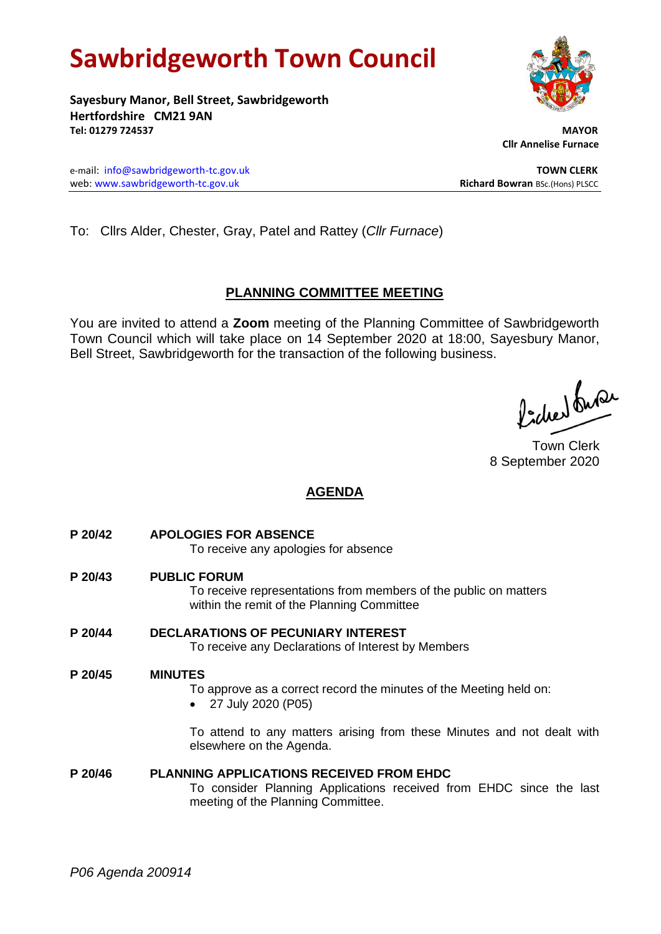# **Sawbridgeworth Town Council**

**Sayesbury Manor, Bell Street, Sawbridgeworth Hertfordshire CM21 9AN Tel: 01279 724537 MAYOR**

e-mail: [info@sawbridgeworth-tc.gov.uk](mailto:info@sawbridgeworth-tc.gov.uk) **TOWN CLERK** web: www.sawbridgeworth-tc.gov.uk<br> **Richard Bowran** BSc.(Hons) PLSCC

 **Cllr Annelise Furnace**

To: Cllrs Alder, Chester, Gray, Patel and Rattey (*Cllr Furnace*)

# **PLANNING COMMITTEE MEETING**

You are invited to attend a **Zoom** meeting of the Planning Committee of Sawbridgeworth Town Council which will take place on 14 September 2020 at 18:00, Sayesbury Manor, Bell Street, Sawbridgeworth for the transaction of the following business.

fidee buse

Town Clerk 8 September 2020

# **AGENDA**

- **P 20/42 APOLOGIES FOR ABSENCE** To receive any apologies for absence
- **P 20/43 PUBLIC FORUM** To receive representations from members of the public on matters within the remit of the Planning Committee **P 20/44 DECLARATIONS OF PECUNIARY INTEREST**

To receive any Declarations of Interest by Members

## **P 20/45 MINUTES**

- To approve as a correct record the minutes of the Meeting held on:
- 27 July 2020 (P05)

To attend to any matters arising from these Minutes and not dealt with elsewhere on the Agenda.

### **P 20/46 PLANNING APPLICATIONS RECEIVED FROM EHDC** To consider Planning Applications received from EHDC since the last meeting of the Planning Committee.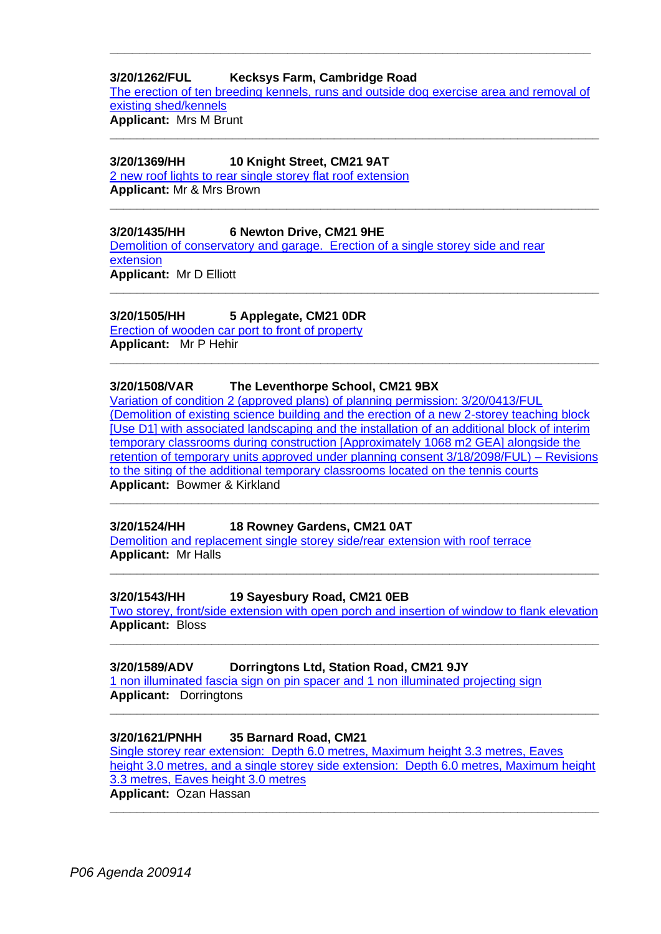## **3/20/1262/FUL Kecksys Farm, Cambridge Road**

[The erection of ten breeding kennels, runs and outside dog exercise area and removal of](https://publicaccess.eastherts.gov.uk/online-applications/applicationDetails.do?activeTab=documents&keyVal=QD58FDGL00X00)  existing [shed/kennels](https://publicaccess.eastherts.gov.uk/online-applications/applicationDetails.do?activeTab=documents&keyVal=QD58FDGL00X00)

**\_\_\_\_\_\_\_\_\_\_\_\_\_\_\_\_\_\_\_\_\_\_\_\_\_\_\_\_\_\_\_\_\_\_\_\_\_\_\_\_\_\_\_\_\_\_\_\_\_\_\_\_\_\_\_\_\_\_\_\_\_\_\_\_\_\_\_\_\_\_\_\_**

**\_\_\_\_\_\_\_\_\_\_\_\_\_\_\_\_\_\_\_\_\_\_\_\_\_\_\_\_\_\_\_\_\_\_\_\_\_\_\_\_\_\_\_\_\_\_\_\_\_\_\_\_\_\_\_\_\_\_\_\_\_\_\_\_\_\_\_\_\_\_\_\_**

**\_\_\_\_\_\_\_\_\_\_\_\_\_\_\_\_\_\_\_\_\_\_\_\_\_\_\_\_\_\_\_\_\_\_\_\_\_\_\_\_\_\_\_\_\_\_\_\_\_\_\_\_\_\_\_\_\_\_\_\_\_\_\_\_\_\_\_\_\_\_\_\_**

**\_\_\_\_\_\_\_\_\_\_\_\_\_\_\_\_\_\_\_\_\_\_\_\_\_\_\_\_\_\_\_\_\_\_\_\_\_\_\_\_\_\_\_\_\_\_\_\_\_\_\_\_\_\_\_\_\_\_\_\_\_\_\_\_\_**

**Applicant:** Mrs M Brunt

### **3/20/1369/HH 10 Knight Street, CM21 9AT**

[2 new roof lights to rear single storey flat roof extension](https://publicaccess.eastherts.gov.uk/online-applications/applicationDetails.do?activeTab=documents&keyVal=QDTFZAGLHOH00) **Applicant:** Mr & Mrs Brown

#### **3/20/1435/HH 6 Newton Drive, CM21 9HE**

[Demolition of conservatory and garage. Erection of a single storey side and rear](https://publicaccess.eastherts.gov.uk/online-applications/applicationDetails.do?activeTab=documents&keyVal=QE7YAHGLHSY00)  [extension](https://publicaccess.eastherts.gov.uk/online-applications/applicationDetails.do?activeTab=documents&keyVal=QE7YAHGLHSY00) **Applicant:** Mr D Elliott

#### **3/20/1505/HH 5 Applegate, CM21 0DR**

[Erection of wooden car port to front of property](https://publicaccess.eastherts.gov.uk/online-applications/applicationDetails.do?activeTab=documents&keyVal=QENDSBGLHYA00) **Applicant:** Mr P Hehir **\_\_\_\_\_\_\_\_\_\_\_\_\_\_\_\_\_\_\_\_\_\_\_\_\_\_\_\_\_\_\_\_\_\_\_\_\_\_\_\_\_\_\_\_\_\_\_\_\_\_\_\_\_\_\_\_\_\_\_\_\_\_\_\_\_\_\_\_\_\_\_\_**

## **3/20/1508/VAR The Leventhorpe School, CM21 9BX**

[Variation of condition 2 \(approved plans\) of planning permission: 3/20/0413/FUL](https://publicaccess.eastherts.gov.uk/online-applications/applicationDetails.do?activeTab=documents&keyVal=QEP8IQGLHYL00)  [\(Demolition of existing science building and the erection of a new 2-storey teaching block](https://publicaccess.eastherts.gov.uk/online-applications/applicationDetails.do?activeTab=documents&keyVal=QEP8IQGLHYL00)  [\[Use D1\] with associated landscaping and the installation of an additional block of interim](https://publicaccess.eastherts.gov.uk/online-applications/applicationDetails.do?activeTab=documents&keyVal=QEP8IQGLHYL00)  [temporary classrooms during construction \[Approximately](https://publicaccess.eastherts.gov.uk/online-applications/applicationDetails.do?activeTab=documents&keyVal=QEP8IQGLHYL00) 1068 m2 GEA] alongside the [retention of temporary units approved under planning consent 3/18/2098/FUL\) –](https://publicaccess.eastherts.gov.uk/online-applications/applicationDetails.do?activeTab=documents&keyVal=QEP8IQGLHYL00) Revisions [to the siting of the additional temporary classrooms located on the tennis courts](https://publicaccess.eastherts.gov.uk/online-applications/applicationDetails.do?activeTab=documents&keyVal=QEP8IQGLHYL00) **Applicant:** Bowmer & Kirkland

**\_\_\_\_\_\_\_\_\_\_\_\_\_\_\_\_\_\_\_\_\_\_\_\_\_\_\_\_\_\_\_\_\_\_\_\_\_\_\_\_\_\_\_\_\_\_\_\_\_\_\_\_\_\_\_\_\_\_\_\_\_\_\_\_\_\_\_\_\_\_\_\_**

#### **3/20/1524/HH 18 Rowney Gardens, CM21 0AT**

[Demolition and replacement single storey side/rear extension with roof terrace](https://publicaccess.eastherts.gov.uk/online-applications/applicationDetails.do?activeTab=documents&keyVal=QEW0X0GLI0500) **Applicant:** Mr Halls

#### **3/20/1543/HH 19 Sayesbury Road, CM21 0EB**

[Two storey, front/side extension with open porch and insertion of window to flank elevation](https://publicaccess.eastherts.gov.uk/online-applications/applicationDetails.do?activeTab=documents&keyVal=QEYHRMGLI1K00) **Applicant:** Bloss **\_\_\_\_\_\_\_\_\_\_\_\_\_\_\_\_\_\_\_\_\_\_\_\_\_\_\_\_\_\_\_\_\_\_\_\_\_\_\_\_\_\_\_\_\_\_\_\_\_\_\_\_\_\_\_\_\_\_\_\_\_\_\_\_\_\_\_\_\_\_\_\_**

**\_\_\_\_\_\_\_\_\_\_\_\_\_\_\_\_\_\_\_\_\_\_\_\_\_\_\_\_\_\_\_\_\_\_\_\_\_\_\_\_\_\_\_\_\_\_\_\_\_\_\_\_\_\_\_\_\_\_\_\_\_\_\_\_\_\_\_\_\_\_\_\_**

#### **3/20/1589/ADV Dorringtons Ltd, Station Road, CM21 9JY**

[1 non illuminated fascia sign on pin spacer and 1 non illuminated projecting sign](https://publicaccess.eastherts.gov.uk/online-applications/applicationDetails.do?activeTab=documents&keyVal=QFCZY4GLI4V00) **Applicant:** Dorringtons

#### **3/20/1621/PNHH 35 Barnard Road, CM21**

[Single storey rear extension: Depth 6.0 metres, Maximum height 3.3 metres, Eaves](https://publicaccess.eastherts.gov.uk/online-applications/applicationDetails.do?activeTab=documents&keyVal=QFKQJNGL00X00)  [height 3.0 metres, and a single storey side extension: Depth 6.0 metres, Maximum height](https://publicaccess.eastherts.gov.uk/online-applications/applicationDetails.do?activeTab=documents&keyVal=QFKQJNGL00X00)  [3.3 metres, Eaves height 3.0 metres](https://publicaccess.eastherts.gov.uk/online-applications/applicationDetails.do?activeTab=documents&keyVal=QFKQJNGL00X00) **Applicant:** Ozan Hassan

**\_\_\_\_\_\_\_\_\_\_\_\_\_\_\_\_\_\_\_\_\_\_\_\_\_\_\_\_\_\_\_\_\_\_\_\_\_\_\_\_\_\_\_\_\_\_\_\_\_\_\_\_\_\_\_\_\_\_\_\_\_\_\_\_\_\_\_\_\_\_\_\_**

**\_\_\_\_\_\_\_\_\_\_\_\_\_\_\_\_\_\_\_\_\_\_\_\_\_\_\_\_\_\_\_\_\_\_\_\_\_\_\_\_\_\_\_\_\_\_\_\_\_\_\_\_\_\_\_\_\_\_\_\_\_\_\_\_\_\_\_\_\_\_\_\_**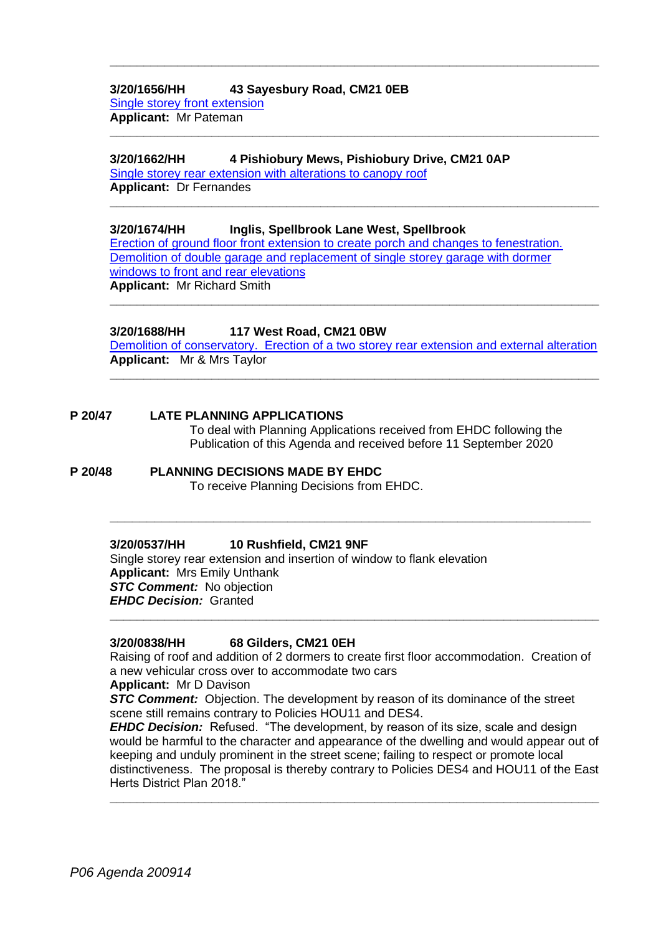## **3/20/1656/HH 43 Sayesbury Road, CM21 0EB** [Single storey front extension](https://publicaccess.eastherts.gov.uk/online-applications/applicationDetails.do?activeTab=documents&keyVal=QFZ0V8GL00X00)

**Applicant:** Mr Pateman

## **3/20/1662/HH 4 Pishiobury Mews, Pishiobury Drive, CM21 0AP**

[Single storey rear extension with alterations to canopy roof](https://publicaccess.eastherts.gov.uk/online-applications/applicationDetails.do?activeTab=documents&keyVal=QG0RJAGLIA600) **Applicant:** Dr Fernandes

## **3/20/1674/HH Inglis, Spellbrook Lane West, Spellbrook**

[Erection of ground floor front extension to create porch and changes to fenestration.](https://publicaccess.eastherts.gov.uk/online-applications/applicationDetails.do?activeTab=documents&keyVal=QG2M88GLIB200)  [Demolition of double garage and replacement of single storey garage with dormer](https://publicaccess.eastherts.gov.uk/online-applications/applicationDetails.do?activeTab=documents&keyVal=QG2M88GLIB200)  [windows to front and rear elevations](https://publicaccess.eastherts.gov.uk/online-applications/applicationDetails.do?activeTab=documents&keyVal=QG2M88GLIB200) **Applicant:** Mr Richard Smith

**\_\_\_\_\_\_\_\_\_\_\_\_\_\_\_\_\_\_\_\_\_\_\_\_\_\_\_\_\_\_\_\_\_\_\_\_\_\_\_\_\_\_\_\_\_\_\_\_\_\_\_\_\_\_\_\_\_\_\_\_\_\_\_\_\_\_\_\_\_\_\_\_**

**\_\_\_\_\_\_\_\_\_\_\_\_\_\_\_\_\_\_\_\_\_\_\_\_\_\_\_\_\_\_\_\_\_\_\_\_\_\_\_\_\_\_\_\_\_\_\_\_\_\_\_\_\_\_\_\_\_\_\_\_\_\_\_\_\_\_\_\_\_\_\_\_**

**\_\_\_\_\_\_\_\_\_\_\_\_\_\_\_\_\_\_\_\_\_\_\_\_\_\_\_\_\_\_\_\_\_\_\_\_\_\_\_\_\_\_\_\_\_\_\_\_\_\_\_\_\_\_\_\_\_\_\_\_\_\_\_\_\_\_\_\_\_\_\_\_**

## **3/20/1688/HH 117 West Road, CM21 0BW**

[Demolition of conservatory. Erection of a two storey rear extension and external alteration](https://publicaccess.eastherts.gov.uk/online-applications/applicationDetails.do?activeTab=documents&keyVal=QG4H1DGLIC500) **Applicant:** Mr & Mrs Taylor **\_\_\_\_\_\_\_\_\_\_\_\_\_\_\_\_\_\_\_\_\_\_\_\_\_\_\_\_\_\_\_\_\_\_\_\_\_\_\_\_\_\_\_\_\_\_\_\_\_\_\_\_\_\_\_\_\_\_\_\_\_\_\_\_\_\_\_\_\_\_\_\_**

**\_\_\_\_\_\_\_\_\_\_\_\_\_\_\_\_\_\_\_\_\_\_\_\_\_\_\_\_\_\_\_\_\_\_\_\_\_\_\_\_\_\_\_\_\_\_\_\_\_\_\_\_\_\_\_\_\_\_\_\_\_\_\_\_\_\_\_\_\_\_\_\_**

#### **P 20/47 LATE PLANNING APPLICATIONS**

To deal with Planning Applications received from EHDC following the Publication of this Agenda and received before 11 September 2020

## **P 20/48 PLANNING DECISIONS MADE BY EHDC**

To receive Planning Decisions from EHDC.

## **3/20/0537/HH 10 Rushfield, CM21 9NF**

Single storey rear extension and insertion of window to flank elevation **Applicant:** Mrs Emily Unthank **STC Comment:** No objection *EHDC Decision:* Granted

## **3/20/0838/HH 68 Gilders, CM21 0EH**

Raising of roof and addition of 2 dormers to create first floor accommodation. Creation of a new vehicular cross over to accommodate two cars

**\_\_\_\_\_\_\_\_\_\_\_\_\_\_\_\_\_\_\_\_\_\_\_\_\_\_\_\_\_\_\_\_\_\_\_\_\_\_\_\_\_\_\_\_\_\_\_\_\_\_\_\_\_\_\_\_\_\_\_\_\_\_\_\_\_\_\_\_\_\_\_\_**

**\_\_\_\_\_\_\_\_\_\_\_\_\_\_\_\_\_\_\_\_\_\_\_\_\_\_\_\_\_\_\_\_\_\_\_\_\_\_\_\_\_\_\_\_\_\_\_\_\_\_\_\_\_\_\_\_\_\_\_\_\_\_\_\_\_**

#### **Applicant:** Mr D Davison

**STC Comment:** Objection. The development by reason of its dominance of the street scene still remains contrary to Policies HOU11 and DES4.

*EHDC Decision:* Refused. "The development, by reason of its size, scale and design would be harmful to the character and appearance of the dwelling and would appear out of keeping and unduly prominent in the street scene; failing to respect or promote local distinctiveness. The proposal is thereby contrary to Policies DES4 and HOU11 of the East Herts District Plan 2018."

**\_\_\_\_\_\_\_\_\_\_\_\_\_\_\_\_\_\_\_\_\_\_\_\_\_\_\_\_\_\_\_\_\_\_\_\_\_\_\_\_\_\_\_\_\_\_\_\_\_\_\_\_\_\_\_\_\_\_\_\_\_\_\_\_\_\_\_\_\_\_\_\_**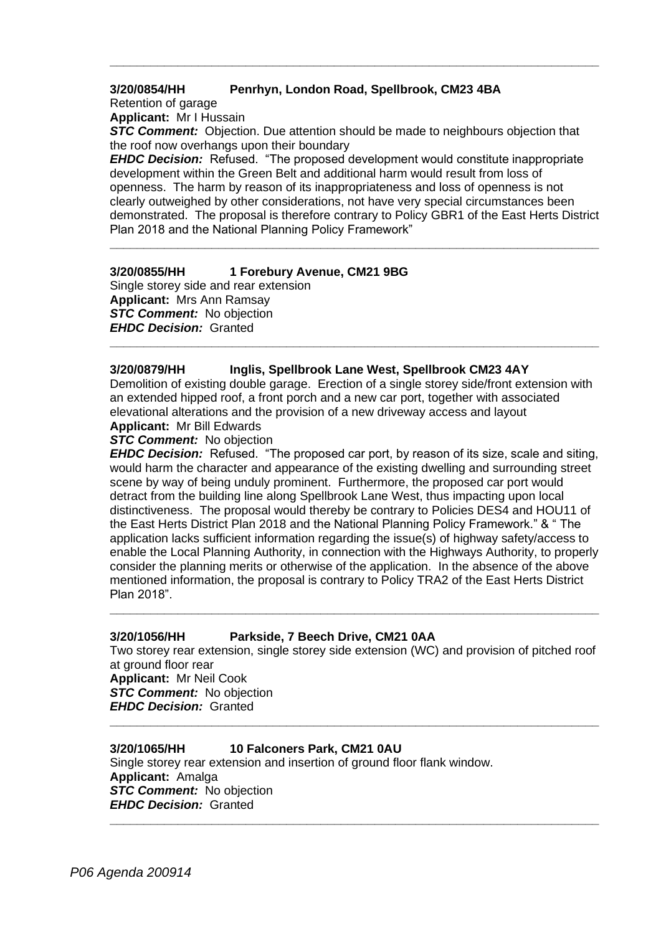## **3/20/0854/HH Penrhyn, London Road, Spellbrook, CM23 4BA**

Retention of garage

**Applicant:** Mr I Hussain

**STC Comment:** Objection. Due attention should be made to neighbours objection that the roof now overhangs upon their boundary

**\_\_\_\_\_\_\_\_\_\_\_\_\_\_\_\_\_\_\_\_\_\_\_\_\_\_\_\_\_\_\_\_\_\_\_\_\_\_\_\_\_\_\_\_\_\_\_\_\_\_\_\_\_\_\_\_\_\_\_\_\_\_\_\_\_\_\_\_\_\_\_\_**

*EHDC Decision:* Refused. "The proposed development would constitute inappropriate development within the Green Belt and additional harm would result from loss of openness. The harm by reason of its inappropriateness and loss of openness is not clearly outweighed by other considerations, not have very special circumstances been demonstrated. The proposal is therefore contrary to Policy GBR1 of the East Herts District Plan 2018 and the National Planning Policy Framework"

**\_\_\_\_\_\_\_\_\_\_\_\_\_\_\_\_\_\_\_\_\_\_\_\_\_\_\_\_\_\_\_\_\_\_\_\_\_\_\_\_\_\_\_\_\_\_\_\_\_\_\_\_\_\_\_\_\_\_\_\_\_\_\_\_\_\_\_\_\_\_\_\_**

## **3/20/0855/HH 1 Forebury Avenue, CM21 9BG**

Single storey side and rear extension **Applicant:** Mrs Ann Ramsay *STC Comment:* No objection *EHDC Decision:* Granted

## **3/20/0879/HH Inglis, Spellbrook Lane West, Spellbrook CM23 4AY**

Demolition of existing double garage. Erection of a single storey side/front extension with an extended hipped roof, a front porch and a new car port, together with associated elevational alterations and the provision of a new driveway access and layout **Applicant:** Mr Bill Edwards

**\_\_\_\_\_\_\_\_\_\_\_\_\_\_\_\_\_\_\_\_\_\_\_\_\_\_\_\_\_\_\_\_\_\_\_\_\_\_\_\_\_\_\_\_\_\_\_\_\_\_\_\_\_\_\_\_\_\_\_\_\_\_\_\_\_\_\_\_\_\_\_\_**

#### *STC Comment:* No objection

*EHDC Decision:* Refused. "The proposed car port, by reason of its size, scale and siting, would harm the character and appearance of the existing dwelling and surrounding street scene by way of being unduly prominent. Furthermore, the proposed car port would detract from the building line along Spellbrook Lane West, thus impacting upon local distinctiveness. The proposal would thereby be contrary to Policies DES4 and HOU11 of the East Herts District Plan 2018 and the National Planning Policy Framework." & " The application lacks sufficient information regarding the issue(s) of highway safety/access to enable the Local Planning Authority, in connection with the Highways Authority, to properly consider the planning merits or otherwise of the application. In the absence of the above mentioned information, the proposal is contrary to Policy TRA2 of the East Herts District Plan 2018".

#### **3/20/1056/HH Parkside, 7 Beech Drive, CM21 0AA**

Two storey rear extension, single storey side extension (WC) and provision of pitched roof at ground floor rear **Applicant:** Mr Neil Cook

**\_\_\_\_\_\_\_\_\_\_\_\_\_\_\_\_\_\_\_\_\_\_\_\_\_\_\_\_\_\_\_\_\_\_\_\_\_\_\_\_\_\_\_\_\_\_\_\_\_\_\_\_\_\_\_\_\_\_\_\_\_\_\_\_\_\_\_\_\_\_\_\_**

**\_\_\_\_\_\_\_\_\_\_\_\_\_\_\_\_\_\_\_\_\_\_\_\_\_\_\_\_\_\_\_\_\_\_\_\_\_\_\_\_\_\_\_\_\_\_\_\_\_\_\_\_\_\_\_\_\_\_\_\_\_\_\_\_\_\_\_\_\_\_\_\_**

**\_\_\_\_\_\_\_\_\_\_\_\_\_\_\_\_\_\_\_\_\_\_\_\_\_\_\_\_\_\_\_\_\_\_\_\_\_\_\_\_\_\_\_\_\_\_\_\_\_\_\_\_\_\_\_\_\_\_\_\_\_\_\_\_\_\_\_\_\_\_\_\_**

**STC Comment:** No objection *EHDC Decision:* Granted

## **3/20/1065/HH 10 Falconers Park, CM21 0AU**

Single storey rear extension and insertion of ground floor flank window. **Applicant:** Amalga *STC Comment:* No objection *EHDC Decision:* Granted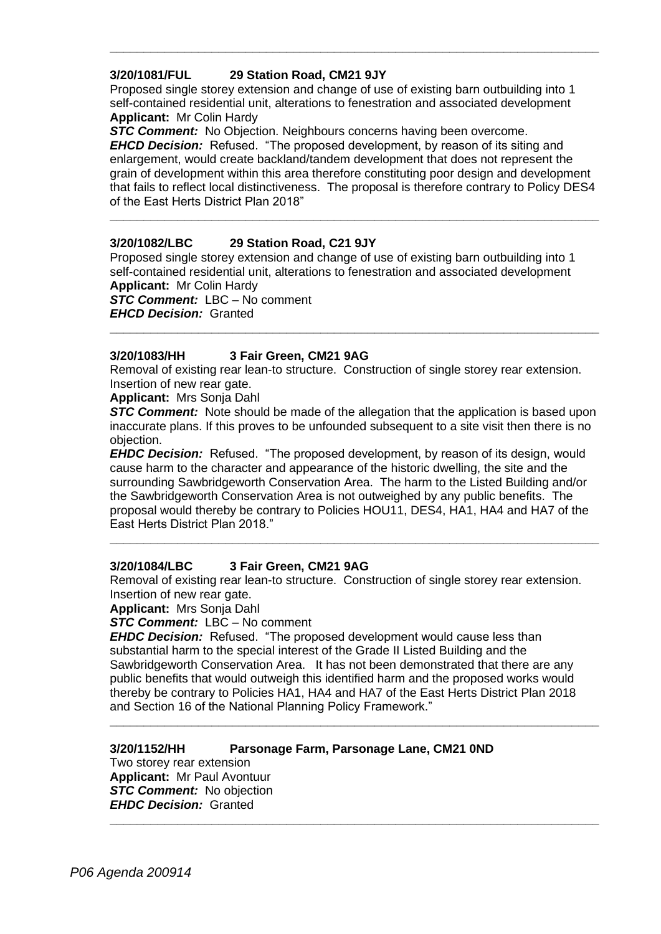## **3/20/1081/FUL 29 Station Road, CM21 9JY**

Proposed single storey extension and change of use of existing barn outbuilding into 1 self-contained residential unit, alterations to fenestration and associated development **Applicant:** Mr Colin Hardy

**\_\_\_\_\_\_\_\_\_\_\_\_\_\_\_\_\_\_\_\_\_\_\_\_\_\_\_\_\_\_\_\_\_\_\_\_\_\_\_\_\_\_\_\_\_\_\_\_\_\_\_\_\_\_\_\_\_\_\_\_\_\_\_\_\_\_\_\_\_\_\_\_**

**STC Comment:** No Objection. Neighbours concerns having been overcome.

*EHCD Decision:* Refused. "The proposed development, by reason of its siting and enlargement, would create backland/tandem development that does not represent the grain of development within this area therefore constituting poor design and development that fails to reflect local distinctiveness. The proposal is therefore contrary to Policy DES4 of the East Herts District Plan 2018"

**\_\_\_\_\_\_\_\_\_\_\_\_\_\_\_\_\_\_\_\_\_\_\_\_\_\_\_\_\_\_\_\_\_\_\_\_\_\_\_\_\_\_\_\_\_\_\_\_\_\_\_\_\_\_\_\_\_\_\_\_\_\_\_\_\_\_\_\_\_\_\_\_**

## **3/20/1082/LBC 29 Station Road, C21 9JY**

Proposed single storey extension and change of use of existing barn outbuilding into 1 self-contained residential unit, alterations to fenestration and associated development **Applicant:** Mr Colin Hardy

*STC Comment:* LBC – No comment *EHCD Decision:* Granted

## **3/20/1083/HH 3 Fair Green, CM21 9AG**

Removal of existing rear lean-to structure. Construction of single storey rear extension. Insertion of new rear gate.

**\_\_\_\_\_\_\_\_\_\_\_\_\_\_\_\_\_\_\_\_\_\_\_\_\_\_\_\_\_\_\_\_\_\_\_\_\_\_\_\_\_\_\_\_\_\_\_\_\_\_\_\_\_\_\_\_\_\_\_\_\_\_\_\_\_\_\_\_\_\_\_\_**

**Applicant:** Mrs Sonja Dahl

**STC Comment:** Note should be made of the allegation that the application is based upon inaccurate plans. If this proves to be unfounded subsequent to a site visit then there is no objection.

*EHDC Decision:* Refused. "The proposed development, by reason of its design, would cause harm to the character and appearance of the historic dwelling, the site and the surrounding Sawbridgeworth Conservation Area. The harm to the Listed Building and/or the Sawbridgeworth Conservation Area is not outweighed by any public benefits. The proposal would thereby be contrary to Policies HOU11, DES4, HA1, HA4 and HA7 of the East Herts District Plan 2018."

**\_\_\_\_\_\_\_\_\_\_\_\_\_\_\_\_\_\_\_\_\_\_\_\_\_\_\_\_\_\_\_\_\_\_\_\_\_\_\_\_\_\_\_\_\_\_\_\_\_\_\_\_\_\_\_\_\_\_\_\_\_\_\_\_\_\_\_\_\_\_\_\_**

## **3/20/1084/LBC 3 Fair Green, CM21 9AG**

Removal of existing rear lean-to structure. Construction of single storey rear extension. Insertion of new rear gate.

**Applicant:** Mrs Sonja Dahl

#### *STC Comment:* LBC – No comment

*EHDC Decision:* Refused. "The proposed development would cause less than substantial harm to the special interest of the Grade II Listed Building and the Sawbridgeworth Conservation Area. It has not been demonstrated that there are any public benefits that would outweigh this identified harm and the proposed works would thereby be contrary to Policies HA1, HA4 and HA7 of the East Herts District Plan 2018 and Section 16 of the National Planning Policy Framework."

**\_\_\_\_\_\_\_\_\_\_\_\_\_\_\_\_\_\_\_\_\_\_\_\_\_\_\_\_\_\_\_\_\_\_\_\_\_\_\_\_\_\_\_\_\_\_\_\_\_\_\_\_\_\_\_\_\_\_\_\_\_\_\_\_\_\_\_\_\_\_\_\_**

**\_\_\_\_\_\_\_\_\_\_\_\_\_\_\_\_\_\_\_\_\_\_\_\_\_\_\_\_\_\_\_\_\_\_\_\_\_\_\_\_\_\_\_\_\_\_\_\_\_\_\_\_\_\_\_\_\_\_\_\_\_\_\_\_\_\_\_\_\_\_\_\_**

## **3/20/1152/HH Parsonage Farm, Parsonage Lane, CM21 0ND**

Two storey rear extension **Applicant:** Mr Paul Avontuur **STC Comment:** No objection *EHDC Decision:* Granted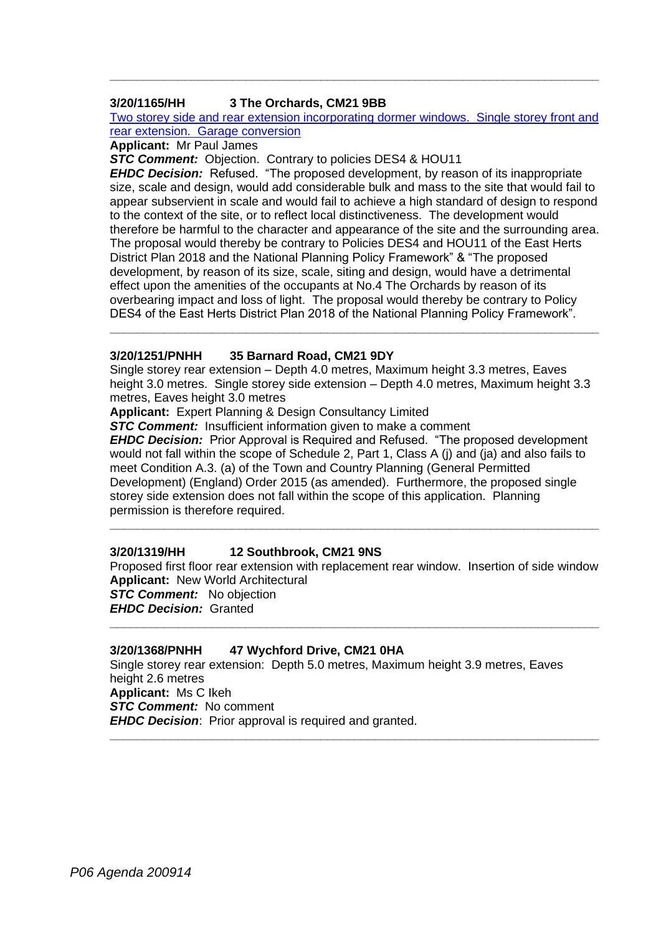### **3/20/1165/HH 3 The Orchards, CM21 9BB**

Two storey side and rear extension incorporating dormer windows. Single storey front and rear extension. Garage conversion

**\_\_\_\_\_\_\_\_\_\_\_\_\_\_\_\_\_\_\_\_\_\_\_\_\_\_\_\_\_\_\_\_\_\_\_\_\_\_\_\_\_\_\_\_\_\_\_\_\_\_\_\_\_\_\_\_\_\_\_\_\_\_\_\_\_\_\_\_\_\_\_\_**

**Applicant:** Mr Paul James

*STC Comment:* Objection. Contrary to policies DES4 & HOU11

*EHDC Decision:* Refused. "The proposed development, by reason of its inappropriate size, scale and design, would add considerable bulk and mass to the site that would fail to appear subservient in scale and would fail to achieve a high standard of design to respond to the context of the site, or to reflect local distinctiveness. The development would therefore be harmful to the character and appearance of the site and the surrounding area. The proposal would thereby be contrary to Policies DES4 and HOU11 of the East Herts District Plan 2018 and the National Planning Policy Framework" & "The proposed development, by reason of its size, scale, siting and design, would have a detrimental effect upon the amenities of the occupants at No.4 The Orchards by reason of its overbearing impact and loss of light. The proposal would thereby be contrary to Policy DES4 of the East Herts District Plan 2018 of the National Planning Policy Framework".

#### **3/20/1251/PNHH 35 Barnard Road, CM21 9DY**

Single storey rear extension – Depth 4.0 metres, Maximum height 3.3 metres, Eaves height 3.0 metres. Single storey side extension – Depth 4.0 metres, Maximum height 3.3 metres, Eaves height 3.0 metres

**\_\_\_\_\_\_\_\_\_\_\_\_\_\_\_\_\_\_\_\_\_\_\_\_\_\_\_\_\_\_\_\_\_\_\_\_\_\_\_\_\_\_\_\_\_\_\_\_\_\_\_\_\_\_\_\_\_\_\_\_\_\_\_\_\_\_\_\_\_\_\_\_**

**Applicant:** Expert Planning & Design Consultancy Limited

**STC Comment:** Insufficient information given to make a comment

*EHDC Decision:* Prior Approval is Required and Refused. "The proposed development would not fall within the scope of Schedule 2, Part 1, Class A (j) and (ja) and also fails to meet Condition A.3. (a) of the Town and Country Planning (General Permitted Development) (England) Order 2015 (as amended). Furthermore, the proposed single storey side extension does not fall within the scope of this application. Planning permission is therefore required.

**\_\_\_\_\_\_\_\_\_\_\_\_\_\_\_\_\_\_\_\_\_\_\_\_\_\_\_\_\_\_\_\_\_\_\_\_\_\_\_\_\_\_\_\_\_\_\_\_\_\_\_\_\_\_\_\_\_\_\_\_\_\_\_\_\_\_\_\_\_\_\_\_**

## **3/20/1319/HH 12 Southbrook, CM21 9NS**

Proposed first floor rear extension with replacement rear window. Insertion of side window **Applicant:** New World Architectural *STC Comment:* No objection *EHDC Decision:* Granted

**\_\_\_\_\_\_\_\_\_\_\_\_\_\_\_\_\_\_\_\_\_\_\_\_\_\_\_\_\_\_\_\_\_\_\_\_\_\_\_\_\_\_\_\_\_\_\_\_\_\_\_\_\_\_\_\_\_\_\_\_\_\_\_\_\_\_\_\_\_\_\_\_**

**\_\_\_\_\_\_\_\_\_\_\_\_\_\_\_\_\_\_\_\_\_\_\_\_\_\_\_\_\_\_\_\_\_\_\_\_\_\_\_\_\_\_\_\_\_\_\_\_\_\_\_\_\_\_\_\_\_\_\_\_\_\_\_\_\_\_\_\_\_\_\_\_**

### **3/20/1368/PNHH 47 Wychford Drive, CM21 0HA**

Single storey rear extension: Depth 5.0 metres, Maximum height 3.9 metres, Eaves height 2.6 metres **Applicant:** Ms C Ikeh *STC Comment:* No comment *EHDC Decision:* Prior approval is required and granted.